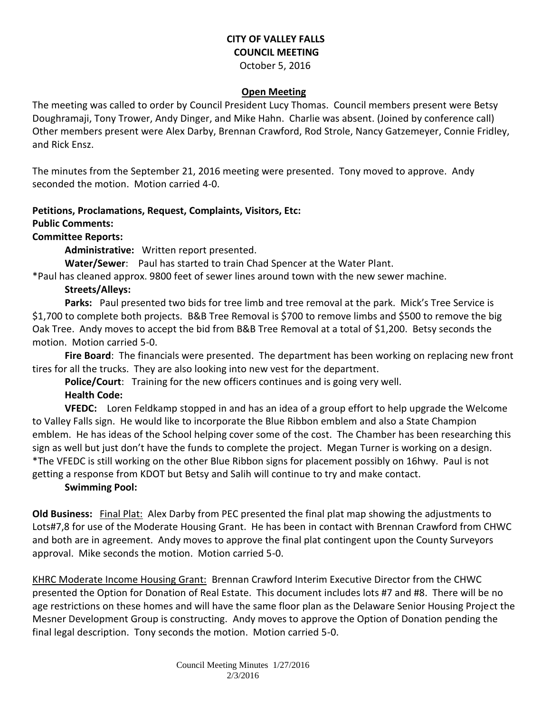# **CITY OF VALLEY FALLS COUNCIL MEETING**

October 5, 2016

#### **Open Meeting**

The meeting was called to order by Council President Lucy Thomas. Council members present were Betsy Doughramaji, Tony Trower, Andy Dinger, and Mike Hahn. Charlie was absent. (Joined by conference call) Other members present were Alex Darby, Brennan Crawford, Rod Strole, Nancy Gatzemeyer, Connie Fridley, and Rick Ensz.

The minutes from the September 21, 2016 meeting were presented. Tony moved to approve. Andy seconded the motion. Motion carried 4-0.

# **Petitions, Proclamations, Request, Complaints, Visitors, Etc:**

#### **Public Comments:**

#### **Committee Reports:**

**Administrative:** Written report presented.

**Water/Sewer**: Paul has started to train Chad Spencer at the Water Plant.

\*Paul has cleaned approx. 9800 feet of sewer lines around town with the new sewer machine.

## **Streets/Alleys:**

**Parks:** Paul presented two bids for tree limb and tree removal at the park. Mick's Tree Service is \$1,700 to complete both projects. B&B Tree Removal is \$700 to remove limbs and \$500 to remove the big Oak Tree. Andy moves to accept the bid from B&B Tree Removal at a total of \$1,200. Betsy seconds the motion. Motion carried 5-0.

**Fire Board**: The financials were presented. The department has been working on replacing new front tires for all the trucks. They are also looking into new vest for the department.

**Police/Court**: Training for the new officers continues and is going very well.

## **Health Code:**

**VFEDC:** Loren Feldkamp stopped in and has an idea of a group effort to help upgrade the Welcome to Valley Falls sign. He would like to incorporate the Blue Ribbon emblem and also a State Champion emblem. He has ideas of the School helping cover some of the cost. The Chamber has been researching this sign as well but just don't have the funds to complete the project. Megan Turner is working on a design. \*The VFEDC is still working on the other Blue Ribbon signs for placement possibly on 16hwy. Paul is not getting a response from KDOT but Betsy and Salih will continue to try and make contact.

## **Swimming Pool:**

**Old Business:** Final Plat: Alex Darby from PEC presented the final plat map showing the adjustments to Lots#7,8 for use of the Moderate Housing Grant. He has been in contact with Brennan Crawford from CHWC and both are in agreement. Andy moves to approve the final plat contingent upon the County Surveyors approval. Mike seconds the motion. Motion carried 5-0.

KHRC Moderate Income Housing Grant: Brennan Crawford Interim Executive Director from the CHWC presented the Option for Donation of Real Estate. This document includes lots #7 and #8. There will be no age restrictions on these homes and will have the same floor plan as the Delaware Senior Housing Project the Mesner Development Group is constructing. Andy moves to approve the Option of Donation pending the final legal description. Tony seconds the motion. Motion carried 5-0.